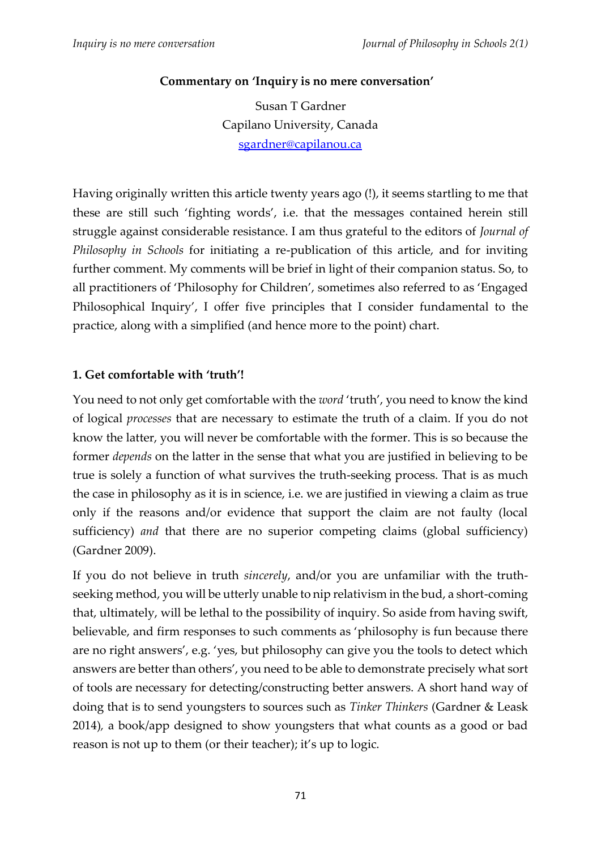### **Commentary on 'Inquiry is no mere conversation'**

Susan T Gardner Capilano University, Canada [sgardner@capilanou.ca](mailto:sgardner@capilanou.ca)

Having originally written this article twenty years ago (!), it seems startling to me that these are still such 'fighting words', i.e. that the messages contained herein still struggle against considerable resistance. I am thus grateful to the editors of *Journal of Philosophy in Schools* for initiating a re-publication of this article, and for inviting further comment. My comments will be brief in light of their companion status. So, to all practitioners of 'Philosophy for Children', sometimes also referred to as 'Engaged Philosophical Inquiry', I offer five principles that I consider fundamental to the practice, along with a simplified (and hence more to the point) chart.

#### **1. Get comfortable with 'truth'!**

You need to not only get comfortable with the *word* 'truth', you need to know the kind of logical *processes* that are necessary to estimate the truth of a claim. If you do not know the latter, you will never be comfortable with the former. This is so because the former *depends* on the latter in the sense that what you are justified in believing to be true is solely a function of what survives the truth-seeking process. That is as much the case in philosophy as it is in science, i.e. we are justified in viewing a claim as true only if the reasons and/or evidence that support the claim are not faulty (local sufficiency) *and* that there are no superior competing claims (global sufficiency) (Gardner 2009).

If you do not believe in truth *sincerely*, and/or you are unfamiliar with the truthseeking method, you will be utterly unable to nip relativism in the bud, a short-coming that, ultimately, will be lethal to the possibility of inquiry. So aside from having swift, believable, and firm responses to such comments as 'philosophy is fun because there are no right answers', e.g. 'yes, but philosophy can give you the tools to detect which answers are better than others', you need to be able to demonstrate precisely what sort of tools are necessary for detecting/constructing better answers. A short hand way of doing that is to send youngsters to sources such as *Tinker Thinkers* (Gardner & Leask 2014)*,* a book/app designed to show youngsters that what counts as a good or bad reason is not up to them (or their teacher); it's up to logic.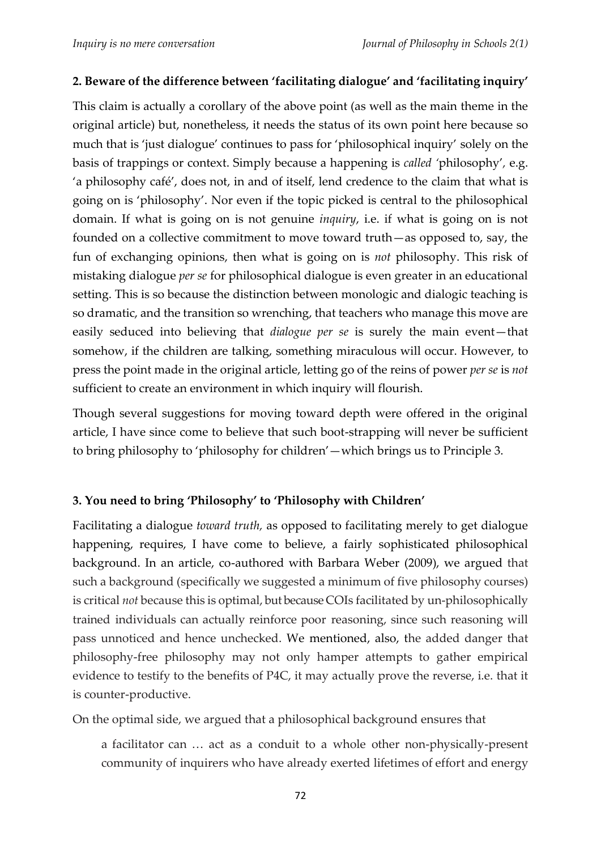### **2. Beware of the difference between 'facilitating dialogue' and 'facilitating inquiry'**

This claim is actually a corollary of the above point (as well as the main theme in the original article) but, nonetheless, it needs the status of its own point here because so much that is 'just dialogue' continues to pass for 'philosophical inquiry' solely on the basis of trappings or context. Simply because a happening is *called '*philosophy'*,* e.g. 'a philosophy café', does not, in and of itself, lend credence to the claim that what is going on is 'philosophy'. Nor even if the topic picked is central to the philosophical domain. If what is going on is not genuine *inquiry*, i.e. if what is going on is not founded on a collective commitment to move toward truth—as opposed to, say, the fun of exchanging opinions, then what is going on is *not* philosophy. This risk of mistaking dialogue *per se* for philosophical dialogue is even greater in an educational setting. This is so because the distinction between monologic and dialogic teaching is so dramatic, and the transition so wrenching, that teachers who manage this move are easily seduced into believing that *dialogue per se* is surely the main event—that somehow, if the children are talking, something miraculous will occur. However, to press the point made in the original article, letting go of the reins of power *per se* is *not* sufficient to create an environment in which inquiry will flourish.

Though several suggestions for moving toward depth were offered in the original article, I have since come to believe that such boot-strapping will never be sufficient to bring philosophy to 'philosophy for children'—which brings us to Principle 3.

### **3. You need to bring 'Philosophy' to 'Philosophy with Children'**

Facilitating a dialogue *toward truth,* as opposed to facilitating merely to get dialogue happening, requires, I have come to believe, a fairly sophisticated philosophical background. In an article, co-authored with Barbara Weber (2009), we argued that such a background (specifically we suggested a minimum of five philosophy courses) is critical *not* because this is optimal, but because COIs facilitated by un-philosophically trained individuals can actually reinforce poor reasoning, since such reasoning will pass unnoticed and hence unchecked. We mentioned, also, the added danger that philosophy-free philosophy may not only hamper attempts to gather empirical evidence to testify to the benefits of P4C, it may actually prove the reverse, i.e. that it is counter-productive.

On the optimal side, we argued that a philosophical background ensures that

a facilitator can … act as a conduit to a whole other non-physically-present community of inquirers who have already exerted lifetimes of effort and energy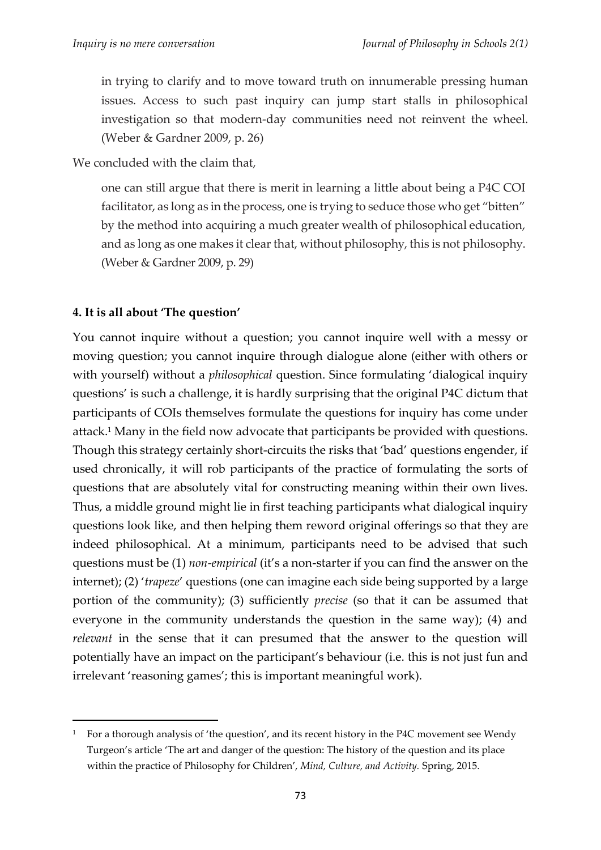in trying to clarify and to move toward truth on innumerable pressing human issues. Access to such past inquiry can jump start stalls in philosophical investigation so that modern-day communities need not reinvent the wheel. (Weber & Gardner 2009, p. 26)

We concluded with the claim that,

one can still argue that there is merit in learning a little about being a P4C COI facilitator, as long as in the process, one is trying to seduce those who get "bitten" by the method into acquiring a much greater wealth of philosophical education, and as long as one makes it clear that, without philosophy, this is not philosophy. (Weber & Gardner 2009, p. 29)

### **4. It is all about 'The question'**

**.** 

You cannot inquire without a question; you cannot inquire well with a messy or moving question; you cannot inquire through dialogue alone (either with others or with yourself) without a *philosophical* question. Since formulating 'dialogical inquiry questions' is such a challenge, it is hardly surprising that the original P4C dictum that participants of COIs themselves formulate the questions for inquiry has come under attack. <sup>1</sup> Many in the field now advocate that participants be provided with questions. Though this strategy certainly short-circuits the risks that 'bad' questions engender, if used chronically, it will rob participants of the practice of formulating the sorts of questions that are absolutely vital for constructing meaning within their own lives. Thus, a middle ground might lie in first teaching participants what dialogical inquiry questions look like, and then helping them reword original offerings so that they are indeed philosophical. At a minimum, participants need to be advised that such questions must be (1) *non-empirical* (it's a non-starter if you can find the answer on the internet); (2) '*trapeze*' questions (one can imagine each side being supported by a large portion of the community); (3) sufficiently *precise* (so that it can be assumed that everyone in the community understands the question in the same way); (4) and *relevant* in the sense that it can presumed that the answer to the question will potentially have an impact on the participant's behaviour (i.e. this is not just fun and irrelevant 'reasoning games'; this is important meaningful work).

<sup>&</sup>lt;sup>1</sup> For a thorough analysis of 'the question', and its recent history in the P4C movement see Wendy Turgeon's article 'The art and danger of the question: The history of the question and its place within the practice of Philosophy for Children', *Mind, Culture, and Activity.* Spring, 2015.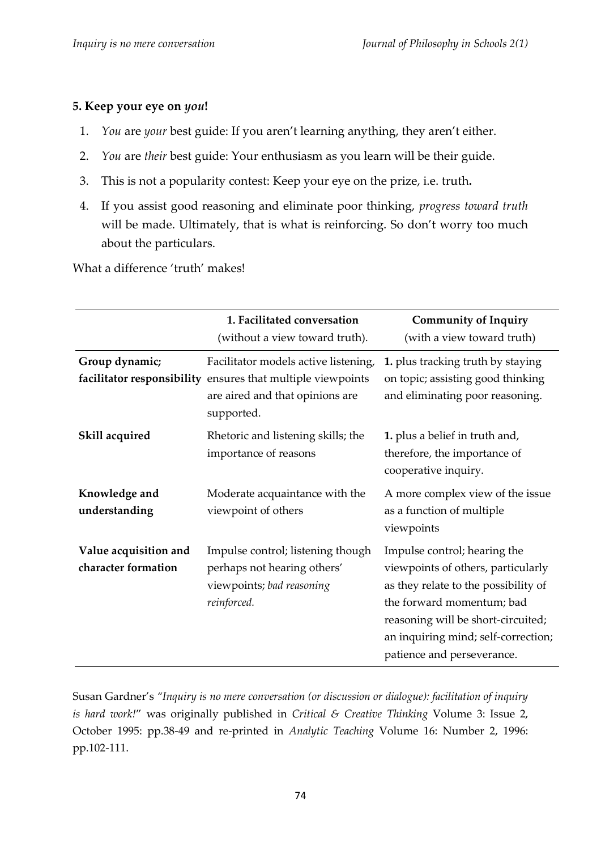#### **5. Keep your eye on** *you***!**

- 1. *You* are *your* best guide: If you aren't learning anything, they aren't either.
- 2. *You* are *their* best guide: Your enthusiasm as you learn will be their guide.
- 3. This is not a popularity contest: Keep your eye on the prize, i.e. truth**.**
- 4. If you assist good reasoning and eliminate poor thinking, *progress toward truth* will be made. Ultimately, that is what is reinforcing. So don't worry too much about the particulars.

What a difference 'truth' makes!

|                                              | 1. Facilitated conversation<br>(without a view toward truth).                                                                                        | <b>Community of Inquiry</b><br>(with a view toward truth)                                                                                                                                                                                          |  |
|----------------------------------------------|------------------------------------------------------------------------------------------------------------------------------------------------------|----------------------------------------------------------------------------------------------------------------------------------------------------------------------------------------------------------------------------------------------------|--|
| Group dynamic;                               | Facilitator models active listening,<br>facilitator responsibility ensures that multiple viewpoints<br>are aired and that opinions are<br>supported. | 1. plus tracking truth by staying<br>on topic; assisting good thinking<br>and eliminating poor reasoning.                                                                                                                                          |  |
| Skill acquired                               | Rhetoric and listening skills; the<br>importance of reasons                                                                                          | 1. plus a belief in truth and,<br>therefore, the importance of<br>cooperative inquiry.                                                                                                                                                             |  |
| Knowledge and<br>understanding               | Moderate acquaintance with the<br>viewpoint of others                                                                                                | A more complex view of the issue<br>as a function of multiple<br>viewpoints                                                                                                                                                                        |  |
| Value acquisition and<br>character formation | Impulse control; listening though<br>perhaps not hearing others'<br>viewpoints; bad reasoning<br>reinforced.                                         | Impulse control; hearing the<br>viewpoints of others, particularly<br>as they relate to the possibility of<br>the forward momentum; bad<br>reasoning will be short-circuited;<br>an inquiring mind; self-correction;<br>patience and perseverance. |  |

Susan Gardner's *"Inquiry is no mere conversation (or discussion or dialogue): facilitation of inquiry is hard work!*" was originally published in *Critical & Creative Thinking* Volume 3: Issue 2, October 1995: pp.38-49 and re-printed in *Analytic Teaching* Volume 16: Number 2, 1996: pp.102-111.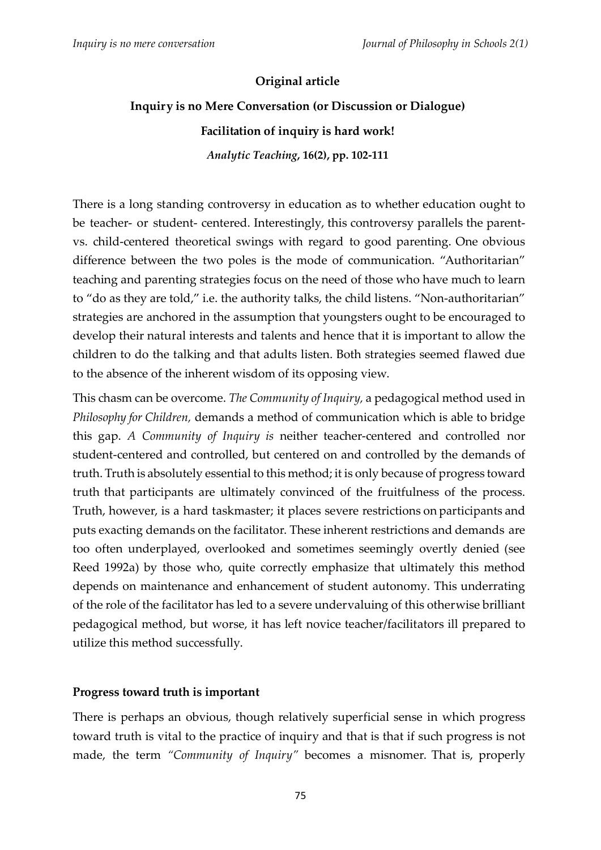#### **Original article**

# **Inquiry is no Mere Conversation (or Discussion or Dialogue) Facilitation of inquiry is hard work!**

*Analytic Teaching***, 16(2), pp. 102-111**

There is a long standing controversy in education as to whether education ought to be teacher- or student- centered. Interestingly, this controversy parallels the parentvs. child-centered theoretical swings with regard to good parenting. One obvious difference between the two poles is the mode of communication. "Authoritarian" teaching and parenting strategies focus on the need of those who have much to learn to "do as they are told," i.e. the authority talks, the child listens. "Non-authoritarian" strategies are anchored in the assumption that youngsters ought to be encouraged to develop their natural interests and talents and hence that it is important to allow the children to do the talking and that adults listen. Both strategies seemed flawed due to the absence of the inherent wisdom of its opposing view.

This chasm can be overcome. *The Community of Inquiry,* a pedagogical method used in *Philosophy for Children,* demands a method of communication which is able to bridge this gap. *A Community of Inquiry is* neither teacher-centered and controlled nor student-centered and controlled, but centered on and controlled by the demands of truth. Truth is absolutely essential to this method; it is only because of progress toward truth that participants are ultimately convinced of the fruitfulness of the process. Truth, however, is a hard taskmaster; it places severe restrictions on participants and puts exacting demands on the facilitator. These inherent restrictions and demands are too often underplayed, overlooked and sometimes seemingly overtly denied (see Reed 1992a) by those who, quite correctly emphasize that ultimately this method depends on maintenance and enhancement of student autonomy. This underrating of the role of the facilitator has led to a severe undervaluing of this otherwise brilliant pedagogical method, but worse, it has left novice teacher/facilitators ill prepared to utilize this method successfully.

### **Progress toward truth is important**

There is perhaps an obvious, though relatively superficial sense in which progress toward truth is vital to the practice of inquiry and that is that if such progress is not made, the term *"Community of Inquiry"* becomes a misnomer. That is, properly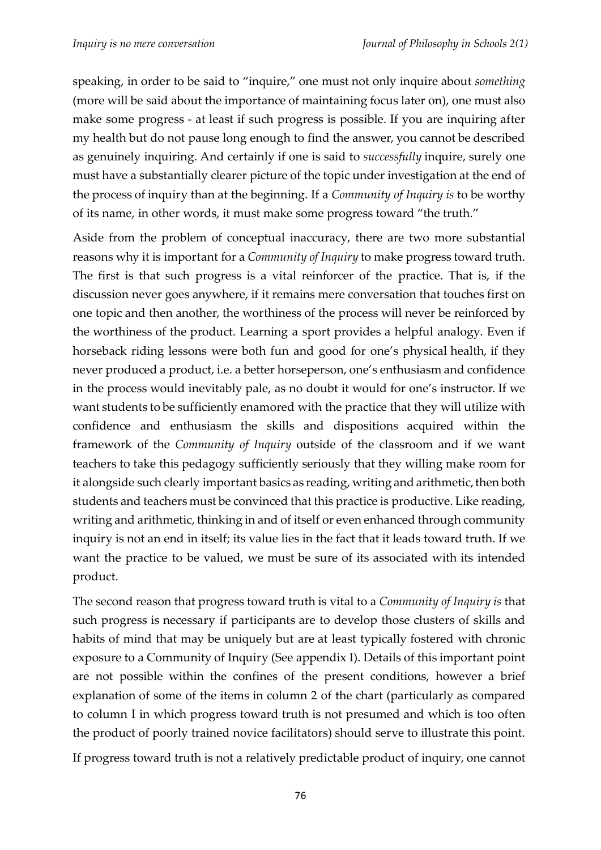speaking, in order to be said to "inquire," one must not only inquire about *something*  (more will be said about the importance of maintaining focus later on), one must also make some progress - at least if such progress is possible. If you are inquiring after my health but do not pause long enough to find the answer, you cannot be described as genuinely inquiring. And certainly if one is said to *successfully* inquire, surely one must have a substantially clearer picture of the topic under investigation at the end of the process of inquiry than at the beginning. If a *Community of Inquiry is* to be worthy of its name, in other words, it must make some progress toward "the truth."

Aside from the problem of conceptual inaccuracy, there are two more substantial reasons why it is important for a *Community of Inquiry* to make progress toward truth. The first is that such progress is a vital reinforcer of the practice. That is, if the discussion never goes anywhere, if it remains mere conversation that touches first on one topic and then another, the worthiness of the process will never be reinforced by the worthiness of the product. Learning a sport provides a helpful analogy. Even if horseback riding lessons were both fun and good for one's physical health, if they never produced a product, i.e. a better horseperson, one's enthusiasm and confidence in the process would inevitably pale, as no doubt it would for one's instructor. If we want students to be sufficiently enamored with the practice that they will utilize with confidence and enthusiasm the skills and dispositions acquired within the framework of the *Community of Inquiry* outside of the classroom and if we want teachers to take this pedagogy sufficiently seriously that they willing make room for it alongside such clearly important basics as reading, writing and arithmetic, then both students and teachers must be convinced that this practice is productive. Like reading, writing and arithmetic, thinking in and of itself or even enhanced through community inquiry is not an end in itself; its value lies in the fact that it leads toward truth. If we want the practice to be valued, we must be sure of its associated with its intended product.

The second reason that progress toward truth is vital to a *Community of Inquiry is* that such progress is necessary if participants are to develop those clusters of skills and habits of mind that may be uniquely but are at least typically fostered with chronic exposure to a Community of Inquiry (See appendix I). Details of this important point are not possible within the confines of the present conditions, however a brief explanation of some of the items in column 2 of the chart (particularly as compared to column I in which progress toward truth is not presumed and which is too often the product of poorly trained novice facilitators) should serve to illustrate this point.

If progress toward truth is not a relatively predictable product of inquiry, one cannot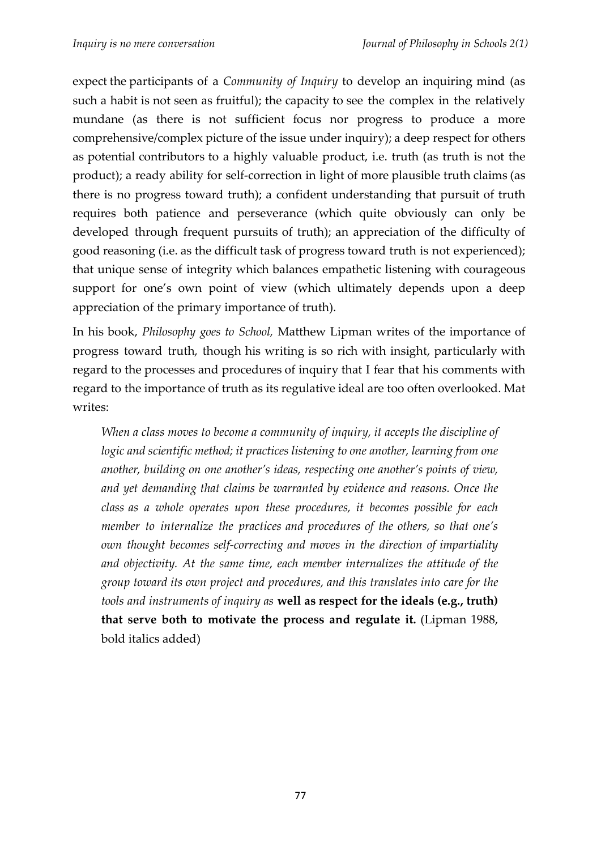expect the participants of a *Community of Inquiry* to develop an inquiring mind (as such a habit is not seen as fruitful); the capacity to see the complex in the relatively mundane (as there is not sufficient focus nor progress to produce a more comprehensive/complex picture of the issue under inquiry); a deep respect for others as potential contributors to a highly valuable product, i.e. truth (as truth is not the product); a ready ability for self-correction in light of more plausible truth claims (as there is no progress toward truth); a confident understanding that pursuit of truth requires both patience and perseverance (which quite obviously can only be developed through frequent pursuits of truth); an appreciation of the difficulty of good reasoning (i.e. as the difficult task of progress toward truth is not experienced); that unique sense of integrity which balances empathetic listening with courageous support for one's own point of view (which ultimately depends upon a deep appreciation of the primary importance of truth).

In his book, *Philosophy goes to School,* Matthew Lipman writes of the importance of progress toward truth, though his writing is so rich with insight, particularly with regard to the processes and procedures of inquiry that I fear that his comments with regard to the importance of truth as its regulative ideal are too often overlooked. Mat writes:

*When a class moves to become a community of inquiry, it accepts the discipline of logic and scientific method; it practices listening to one another, learning from one another, building on one another's ideas, respecting one another's points of view, and yet demanding that claims be warranted by evidence and reasons. Once the class as a whole operates upon these procedures, it becomes possible for each member to internalize the practices and procedures of the others, so that one's own thought becomes self-correcting and moves in the direction of impartiality and objectivity. At the same time, each member internalizes the attitude of the group toward its own project and procedures, and this translates into care for the tools and instruments of inquiry as* **well as respect for the ideals (e.g., truth) that serve both to motivate the process and regulate it.** (Lipman 1988, bold italics added)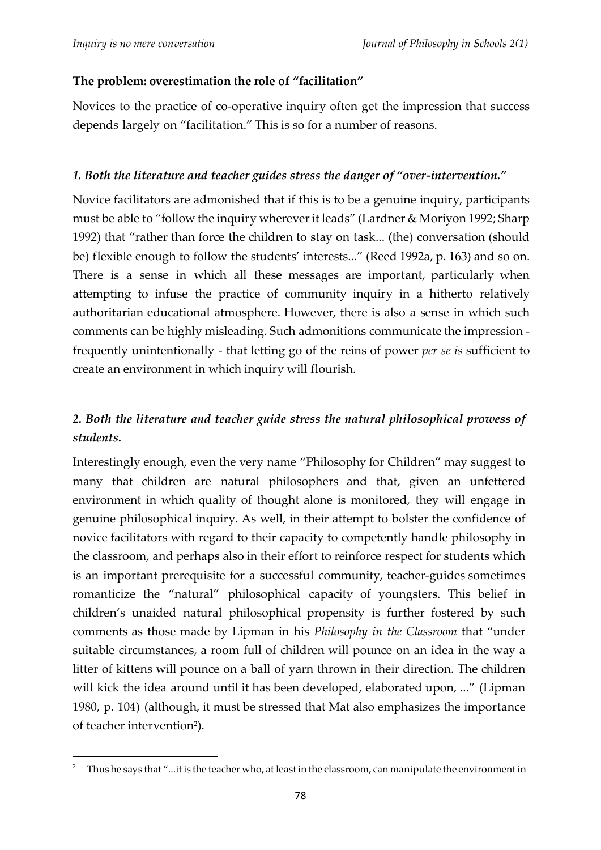**.** 

#### **The problem: overestimation the role of "facilitation"**

Novices to the practice of co-operative inquiry often get the impression that success depends largely on "facilitation." This is so for a number of reasons.

#### *1. Both the literature and teacher guides stress the danger of "over-intervention."*

Novice facilitators are admonished that if this is to be a genuine inquiry, participants must be able to "follow the inquiry whereverit leads" (Lardner & Moriyon 1992; Sharp 1992) that "rather than force the children to stay on task... (the) conversation (should be) flexible enough to follow the students' interests..." (Reed 1992a, p. 163) and so on. There is a sense in which all these messages are important, particularly when attempting to infuse the practice of community inquiry in a hitherto relatively authoritarian educational atmosphere. However, there is also a sense in which such comments can be highly misleading. Such admonitions communicate the impression frequently unintentionally - that letting go of the reins of power *per se is* sufficient to create an environment in which inquiry will flourish.

# *2. Both the literature and teacher guide stress the natural philosophical prowess of students.*

Interestingly enough, even the very name "Philosophy for Children" may suggest to many that children are natural philosophers and that, given an unfettered environment in which quality of thought alone is monitored, they will engage in genuine philosophical inquiry. As well, in their attempt to bolster the confidence of novice facilitators with regard to their capacity to competently handle philosophy in the classroom, and perhaps also in their effort to reinforce respect for students which is an important prerequisite for a successful community, teacher-guides sometimes romanticize the "natural" philosophical capacity of youngsters. This belief in children's unaided natural philosophical propensity is further fostered by such comments as those made by Lipman in his *Philosophy in the Classroom* that "under suitable circumstances, a room full of children will pounce on an idea in the way a litter of kittens will pounce on a ball of yarn thrown in their direction. The children will kick the idea around until it has been developed, elaborated upon, ..." (Lipman 1980, p. 104) (although, it must be stressed that Mat also emphasizes the importance of teacher intervention<sup>2</sup>).

<sup>2</sup> Thus he says that "...itis the teacher who, at least in the classroom, can manipulate the environment in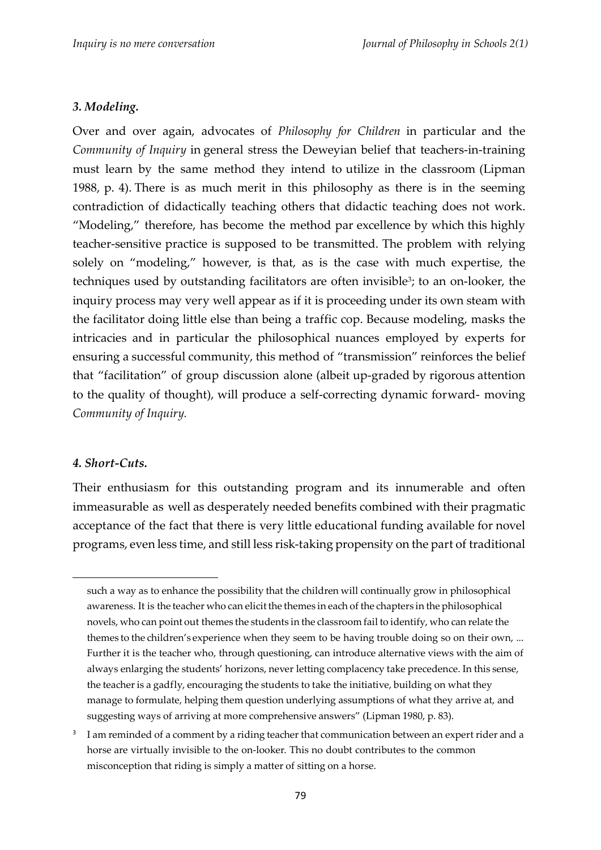#### *3. Modeling.*

Over and over again, advocates of *Philosophy for Children* in particular and the *Community of Inquiry* in general stress the Deweyian belief that teachers-in-training must learn by the same method they intend to utilize in the classroom (Lipman 1988, p. 4). There is as much merit in this philosophy as there is in the seeming contradiction of didactically teaching others that didactic teaching does not work. "Modeling," therefore, has become the method par excellence by which this highly teacher-sensitive practice is supposed to be transmitted. The problem with relying solely on "modeling," however, is that, as is the case with much expertise, the techniques used by outstanding facilitators are often invisible<sup>3</sup>; to an on-looker, the inquiry process may very well appear as if it is proceeding under its own steam with the facilitator doing little else than being a traffic cop. Because modeling, masks the intricacies and in particular the philosophical nuances employed by experts for ensuring a successful community, this method of "transmission" reinforces the belief that "facilitation" of group discussion alone (albeit up-graded by rigorous attention to the quality of thought), will produce a self-correcting dynamic forward- moving *Community of Inquiry.*

#### *4. Short-Cuts.*

 $\overline{a}$ 

Their enthusiasm for this outstanding program and its innumerable and often immeasurable as well as desperately needed benefits combined with their pragmatic acceptance of the fact that there is very little educational funding available for novel programs, even less time, and still less risk-taking propensity on the part of traditional

such a way as to enhance the possibility that the children will continually grow in philosophical awareness. It is the teacher who can elicit the themes in each of the chapters in the philosophical novels, who can point out themes the students in the classroom fail to identify, who can relate the themes to the children's experience when they seem to be having trouble doing so on their own, ... Further it is the teacher who, through questioning, can introduce alternative views with the aim of always enlarging the students' horizons, never letting complacency take precedence. In this sense, the teacher is a gadfly, encouraging the students to take the initiative, building on what they manage to formulate, helping them question underlying assumptions of what they arrive at, and suggesting ways of arriving at more comprehensive answers" (Lipman 1980, p. 83).

<sup>3</sup> I am reminded of a comment by a riding teacher that communication between an expert rider and a horse are virtually invisible to the on-looker. This no doubt contributes to the common misconception that riding is simply a matter of sitting on a horse.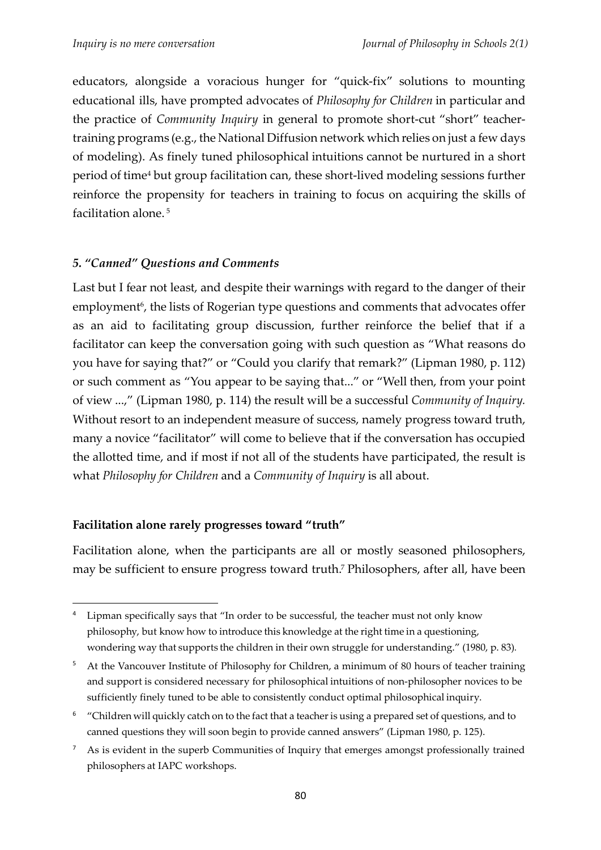educators, alongside a voracious hunger for "quick-fix" solutions to mounting educational ills, have prompted advocates of *Philosophy for Children* in particular and the practice of *Community Inquiry* in general to promote short-cut "short" teachertraining programs (e.g., the National Diffusion network which relies on just a few days of modeling). As finely tuned philosophical intuitions cannot be nurtured in a short period of time <sup>4</sup> but group facilitation can, these short-lived modeling sessions further reinforce the propensity for teachers in training to focus on acquiring the skills of facilitation alone. 5

#### *5. "Canned" Questions and Comments*

Last but I fear not least, and despite their warnings with regard to the danger of their employment<sup>6</sup>, the lists of Rogerian type questions and comments that advocates offer as an aid to facilitating group discussion, further reinforce the belief that if a facilitator can keep the conversation going with such question as "What reasons do you have for saying that?" or "Could you clarify that remark?" (Lipman 1980, p. 112) or such comment as "You appear to be saying that..." or "Well then, from your point of view ...," (Lipman 1980, p. 114) the result will be a successful *Community of Inquiry.*  Without resort to an independent measure of success, namely progress toward truth, many a novice "facilitator" will come to believe that if the conversation has occupied the allotted time, and if most if not all of the students have participated, the result is what *Philosophy for Children* and a *Community of Inquiry* is all about.

#### **Facilitation alone rarely progresses toward "truth"**

1

Facilitation alone, when the participants are all or mostly seasoned philosophers, may be sufficient to ensure progress toward truth. <sup>7</sup> Philosophers, after all, have been

<sup>6</sup> "Children will quickly catch on to the fact that a teacher is using a prepared set of questions, and to canned questions they will soon begin to provide canned answers" (Lipman 1980, p. 125).

<sup>&</sup>lt;sup>4</sup> Lipman specifically says that "In order to be successful, the teacher must not only know philosophy, but know how to introduce this knowledge at the right time in a questioning, wondering way that supports the children in their own struggle for understanding." (1980, p. 83)*.*

<sup>&</sup>lt;sup>5</sup> At the Vancouver Institute of Philosophy for Children, a minimum of 80 hours of teacher training and support is considered necessary for philosophical intuitions of non-philosopher novices to be sufficiently finely tuned to be able to consistently conduct optimal philosophical inquiry.

<sup>7</sup> As is evident in the superb Communities of Inquiry that emerges amongst professionally trained philosophers at IAPC workshops.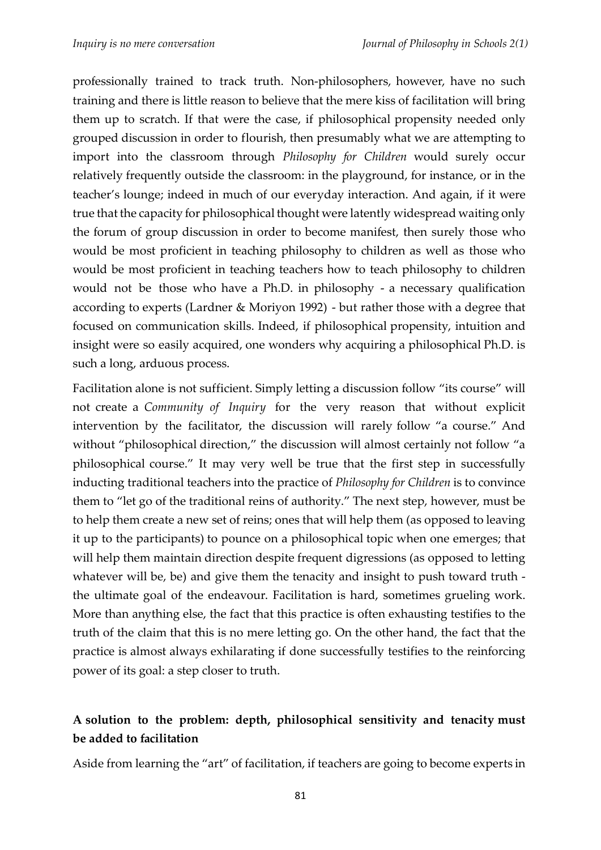professionally trained to track truth. Non-philosophers, however, have no such training and there is little reason to believe that the mere kiss of facilitation will bring them up to scratch. If that were the case, if philosophical propensity needed only grouped discussion in order to flourish, then presumably what we are attempting to import into the classroom through *Philosophy for Children* would surely occur relatively frequently outside the classroom: in the playground, for instance, or in the teacher's lounge; indeed in much of our everyday interaction. And again, if it were true that the capacity for philosophical thought were latently widespread waiting only the forum of group discussion in order to become manifest, then surely those who would be most proficient in teaching philosophy to children as well as those who would be most proficient in teaching teachers how to teach philosophy to children would not be those who have a Ph.D. in philosophy - a necessary qualification according to experts (Lardner & Moriyon 1992) - but rather those with a degree that focused on communication skills. Indeed, if philosophical propensity, intuition and insight were so easily acquired, one wonders why acquiring a philosophical Ph.D. is such a long, arduous process.

Facilitation alone is not sufficient. Simply letting a discussion follow "its course" will not create a *Community of Inquiry* for the very reason that without explicit intervention by the facilitator, the discussion will rarely follow "a course." And without "philosophical direction," the discussion will almost certainly not follow "a philosophical course." It may very well be true that the first step in successfully inducting traditional teachers into the practice of *Philosophy for Children* is to convince them to "let go of the traditional reins of authority." The next step, however, must be to help them create a new set of reins; ones that will help them (as opposed to leaving it up to the participants) to pounce on a philosophical topic when one emerges; that will help them maintain direction despite frequent digressions (as opposed to letting whatever will be, be) and give them the tenacity and insight to push toward truth the ultimate goal of the endeavour. Facilitation is hard, sometimes grueling work. More than anything else, the fact that this practice is often exhausting testifies to the truth of the claim that this is no mere letting go. On the other hand, the fact that the practice is almost always exhilarating if done successfully testifies to the reinforcing power of its goal: a step closer to truth.

## **A solution to the problem: depth, philosophical sensitivity and tenacity must be added to facilitation**

Aside from learning the "art" of facilitation, if teachers are going to become experts in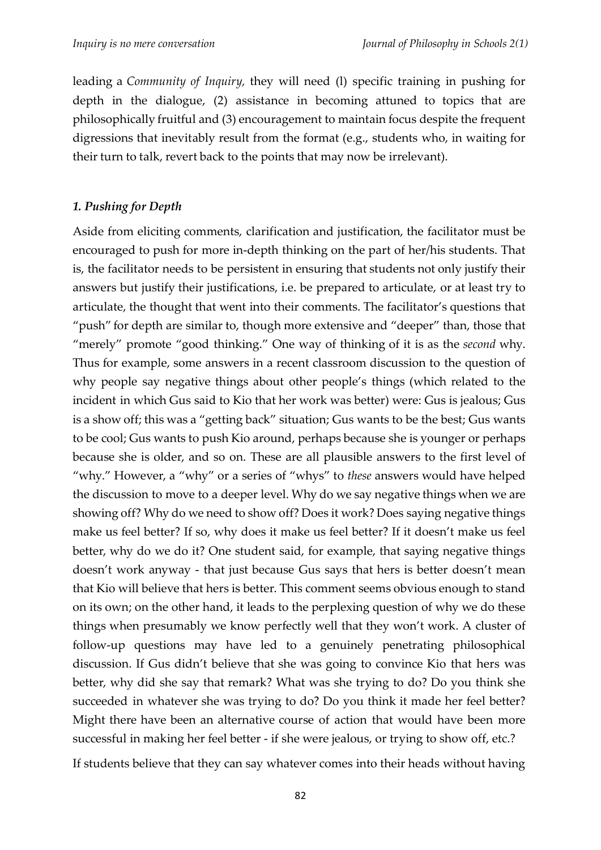leading a *Community of Inquiry,* they will need (l) specific training in pushing for depth in the dialogue, (2) assistance in becoming attuned to topics that are philosophically fruitful and (3) encouragement to maintain focus despite the frequent digressions that inevitably result from the format (e.g., students who, in waiting for their turn to talk, revert back to the points that may now be irrelevant).

#### *1. Pushing for Depth*

Aside from eliciting comments, clarification and justification, the facilitator must be encouraged to push for more in-depth thinking on the part of her/his students. That is, the facilitator needs to be persistent in ensuring that students not only justify their answers but justify their justifications, i.e. be prepared to articulate, or at least try to articulate, the thought that went into their comments. The facilitator's questions that "push" for depth are similar to, though more extensive and "deeper" than, those that "merely" promote "good thinking." One way of thinking of it is as the *second* why. Thus for example, some answers in a recent classroom discussion to the question of why people say negative things about other people's things (which related to the incident in which Gus said to Kio that her work was better) were: Gus is jealous; Gus is a show off; this was a "getting back" situation; Gus wants to be the best; Gus wants to be cool; Gus wants to push Kio around, perhaps because she is younger or perhaps because she is older, and so on. These are all plausible answers to the first level of "why." However, a "why" or a series of "whys" to *these* answers would have helped the discussion to move to a deeper level. Why do we say negative things when we are showing off? Why do we need to show off? Does it work? Does saying negative things make us feel better? If so, why does it make us feel better? If it doesn't make us feel better, why do we do it? One student said, for example, that saying negative things doesn't work anyway - that just because Gus says that hers is better doesn't mean that Kio will believe that hers is better. This comment seems obvious enough to stand on its own; on the other hand, it leads to the perplexing question of why we do these things when presumably we know perfectly well that they won't work. A cluster of follow-up questions may have led to a genuinely penetrating philosophical discussion. If Gus didn't believe that she was going to convince Kio that hers was better, why did she say that remark? What was she trying to do? Do you think she succeeded in whatever she was trying to do? Do you think it made her feel better? Might there have been an alternative course of action that would have been more successful in making her feel better - if she were jealous, or trying to show off, etc.?

If students believe that they can say whatever comes into their heads without having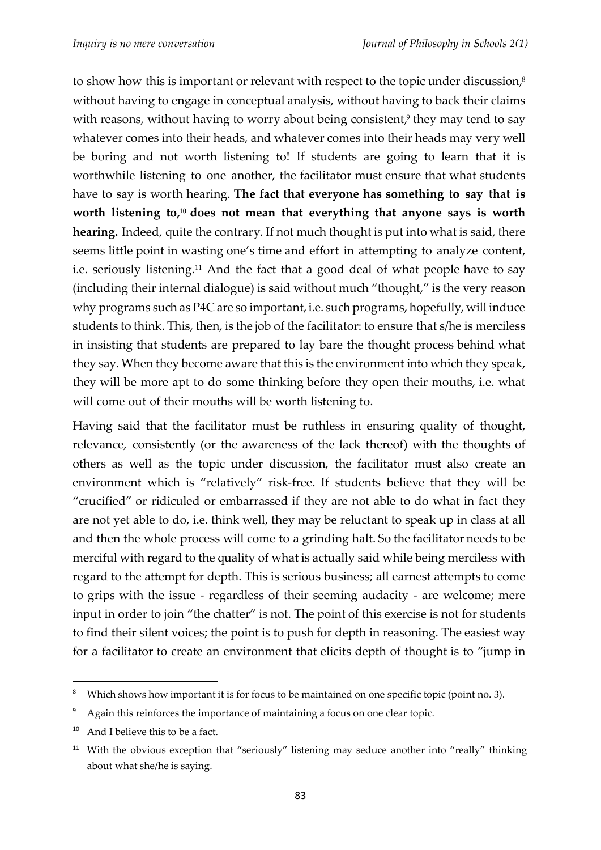to show how this is important or relevant with respect to the topic under discussion, $^s$ without having to engage in conceptual analysis, without having to back their claims with reasons, without having to worry about being consistent,<sup>9</sup> they may tend to say whatever comes into their heads, and whatever comes into their heads may very well be boring and not worth listening to! If students are going to learn that it is worthwhile listening to one another, the facilitator must ensure that what students have to say is worth hearing. **The fact that everyone has something to say that is worth listening to, <sup>10</sup> does not mean that everything that anyone says is worth hearing.** Indeed, quite the contrary. If not much thought is put into what is said, there seems little point in wasting one's time and effort in attempting to analyze content, i.e. seriously listening.<sup>11</sup> And the fact that a good deal of what people have to say (including their internal dialogue) is said without much "thought," is the very reason why programs such as P4C are so important, i.e. such programs, hopefully, will induce students to think. This, then, is the job of the facilitator: to ensure that s/he is merciless in insisting that students are prepared to lay bare the thought process behind what they say. When they become aware that this is the environment into which they speak, they will be more apt to do some thinking before they open their mouths, i.e. what will come out of their mouths will be worth listening to.

Having said that the facilitator must be ruthless in ensuring quality of thought, relevance, consistently (or the awareness of the lack thereof) with the thoughts of others as well as the topic under discussion, the facilitator must also create an environment which is "relatively" risk-free. If students believe that they will be "crucified" or ridiculed or embarrassed if they are not able to do what in fact they are not yet able to do, i.e. think well, they may be reluctant to speak up in class at all and then the whole process will come to a grinding halt. So the facilitator needs to be merciful with regard to the quality of what is actually said while being merciless with regard to the attempt for depth. This is serious business; all earnest attempts to come to grips with the issue - regardless of their seeming audacity - are welcome; mere input in order to join "the chatter" is not. The point of this exercise is not for students to find their silent voices; the point is to push for depth in reasoning. The easiest way for a facilitator to create an environment that elicits depth of thought is to "jump in

1

<sup>&</sup>lt;sup>8</sup> Which shows how important it is for focus to be maintained on one specific topic (point no. 3).

<sup>&</sup>lt;sup>9</sup> Again this reinforces the importance of maintaining a focus on one clear topic.

<sup>&</sup>lt;sup>10</sup> And I believe this to be a fact.

<sup>&</sup>lt;sup>11</sup> With the obvious exception that "seriously" listening may seduce another into "really" thinking about what she/he is saying.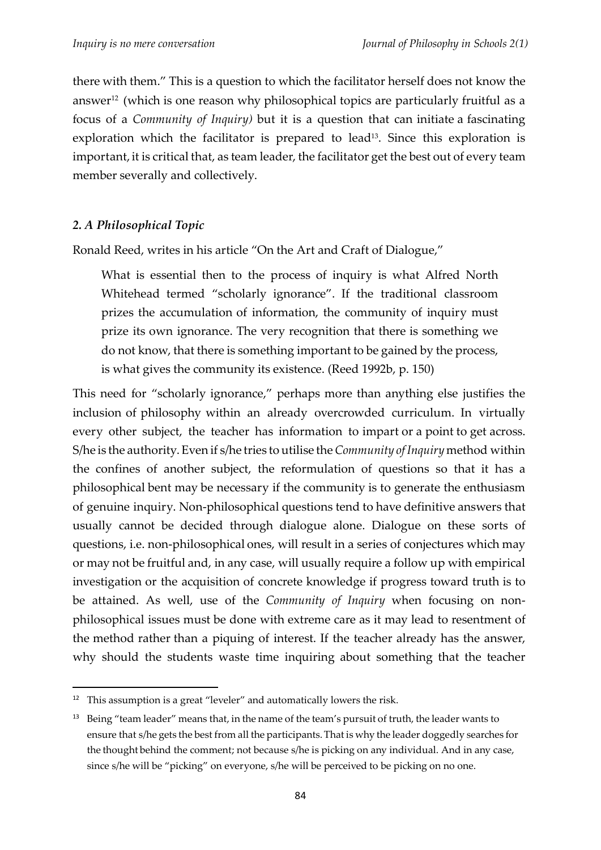there with them." This is a question to which the facilitator herself does not know the answer <sup>12</sup> (which is one reason why philosophical topics are particularly fruitful as a focus of a *Community of Inquiry)* but it is a question that can initiate a fascinating exploration which the facilitator is prepared to lead<sup>13</sup>. Since this exploration is important, it is critical that, as team leader, the facilitator get the best out of every team member severally and collectively.

#### *2. A Philosophical Topic*

1

Ronald Reed, writes in his article "On the Art and Craft of Dialogue,"

What is essential then to the process of inquiry is what Alfred North Whitehead termed "scholarly ignorance". If the traditional classroom prizes the accumulation of information, the community of inquiry must prize its own ignorance. The very recognition that there is something we do not know, that there is something important to be gained by the process, is what gives the community its existence. (Reed 1992b, p. 150)

This need for "scholarly ignorance," perhaps more than anything else justifies the inclusion of philosophy within an already overcrowded curriculum. In virtually every other subject, the teacher has information to impart or a point to get across. S/he is the authority.Even if s/he tries to utilise the*Community of Inquiry* method within the confines of another subject, the reformulation of questions so that it has a philosophical bent may be necessary if the community is to generate the enthusiasm of genuine inquiry. Non-philosophical questions tend to have definitive answers that usually cannot be decided through dialogue alone. Dialogue on these sorts of questions, i.e. non-philosophical ones, will result in a series of conjectures which may or may not be fruitful and, in any case, will usually require a follow up with empirical investigation or the acquisition of concrete knowledge if progress toward truth is to be attained. As well, use of the *Community of Inquiry* when focusing on nonphilosophical issues must be done with extreme care as it may lead to resentment of the method rather than a piquing of interest. If the teacher already has the answer, why should the students waste time inquiring about something that the teacher

<sup>&</sup>lt;sup>12</sup> This assumption is a great "leveler" and automatically lowers the risk.

<sup>&</sup>lt;sup>13</sup> Being "team leader" means that, in the name of the team's pursuit of truth, the leader wants to ensure that s/he gets the best from all the participants.That is why the leader doggedly searches for the thought behind the comment; not because s/he is picking on any individual. And in any case, since s/he will be "picking" on everyone, s/he will be perceived to be picking on no one.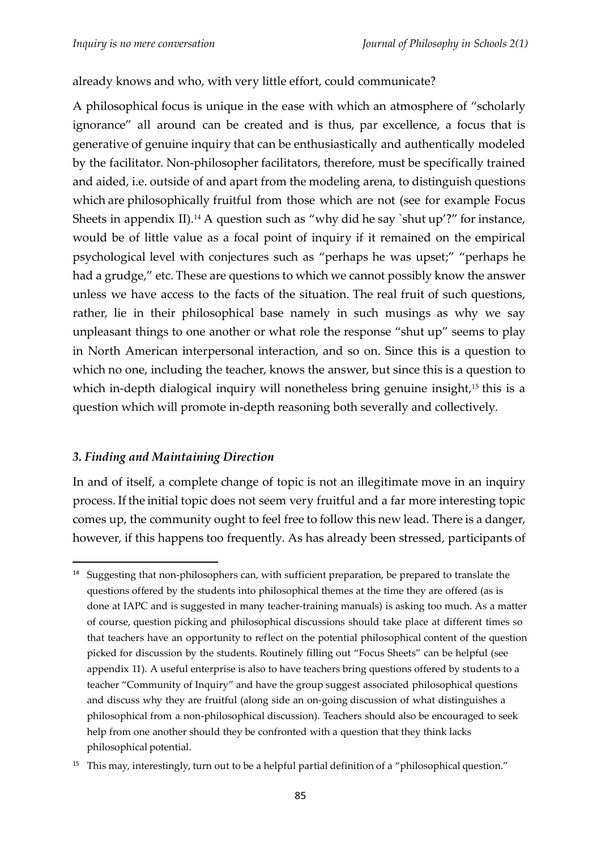#### already knows and who, with very little effort, could communicate?

A philosophical focus is unique in the ease with which an atmosphere of "scholarly ignorance" all around can be created and is thus, par excellence, a focus that is generative of genuine inquiry that can be enthusiastically and authentically modeled by the facilitator. Non-philosopher facilitators, therefore, must be specifically trained and aided, i.e. outside of and apart from the modeling arena, to distinguish questions which are philosophically fruitful from those which are not (see for example Focus Sheets in appendix II). <sup>14</sup> A question such as "why did he say `shut up'?" for instance, would be of little value as a focal point of inquiry if it remained on the empirical psychological level with conjectures such as "perhaps he was upset;" "perhaps he had a grudge," etc. These are questions to which we cannot possibly know the answer unless we have access to the facts of the situation. The real fruit of such questions, rather, lie in their philosophical base namely in such musings as why we say unpleasant things to one another or what role the response "shut up" seems to play in North American interpersonal interaction, and so on. Since this is a question to which no one, including the teacher, knows the answer, but since this is a question to which in-depth dialogical inquiry will nonetheless bring genuine insight,<sup>15</sup> this is a question which will promote in-depth reasoning both severally and collectively.

#### *3. Finding and Maintaining Direction*

1

In and of itself, a complete change of topic is not an illegitimate move in an inquiry process. If the initial topic does not seem very fruitful and a far more interesting topic comes up, the community ought to feel free to follow this new lead. There is a danger, however, if this happens too frequently. As has already been stressed, participants of

<sup>&</sup>lt;sup>14</sup> Suggesting that non-philosophers can, with sufficient preparation, be prepared to translate the questions offered by the students into philosophical themes at the time they are offered (as is done at IAPC and is suggested in many teacher-training manuals) is asking too much. As a matter of course, question picking and philosophical discussions should take place at different times so that teachers have an opportunity to reflect on the potential philosophical content of the question picked for discussion by the students. Routinely filling out "Focus Sheets" can be helpful (see appendix 11). A useful enterprise is also to have teachers bring questions offered by students to a teacher "Community of Inquiry" and have the group suggest associated philosophical questions and discuss why they are fruitful (along side an on-going discussion of what distinguishes a philosophical from a non-philosophical discussion). Teachers should also be encouraged to seek help from one another should they be confronted with a question that they think lacks philosophical potential.

<sup>&</sup>lt;sup>15</sup> This may, interestingly, turn out to be a helpful partial definition of a "philosophical question."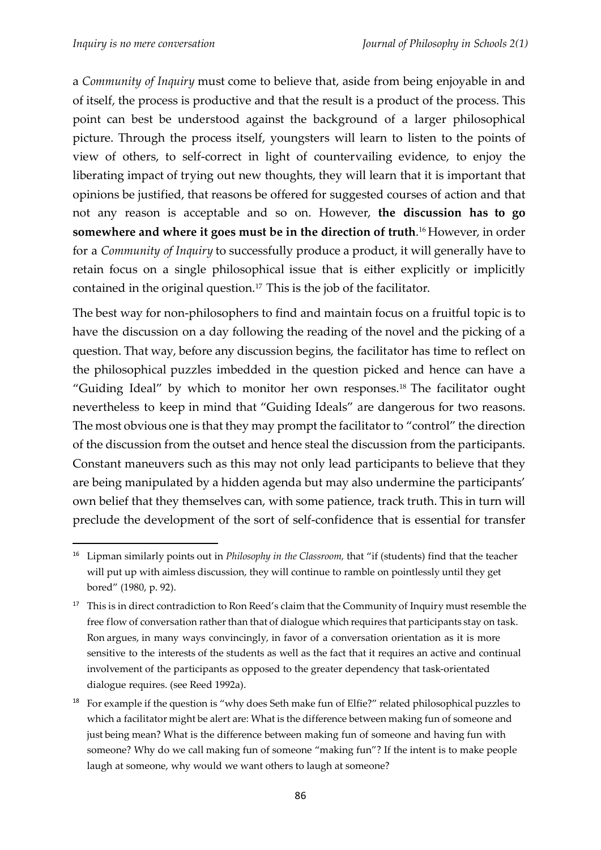**.** 

a *Community of Inquiry* must come to believe that, aside from being enjoyable in and of itself, the process is productive and that the result is a product of the process. This point can best be understood against the background of a larger philosophical picture. Through the process itself, youngsters will learn to listen to the points of view of others, to self-correct in light of countervailing evidence, to enjoy the liberating impact of trying out new thoughts, they will learn that it is important that opinions be justified, that reasons be offered for suggested courses of action and that not any reason is acceptable and so on. However, **the discussion has to go somewhere and where it goes must be in the direction of truth**. <sup>16</sup> However, in order for a *Community of Inquiry* to successfully produce a product, it will generally have to retain focus on a single philosophical issue that is either explicitly or implicitly contained in the original question.<sup>17</sup> This is the job of the facilitator.

The best way for non-philosophers to find and maintain focus on a fruitful topic is to have the discussion on a day following the reading of the novel and the picking of a question. That way, before any discussion begins, the facilitator has time to reflect on the philosophical puzzles imbedded in the question picked and hence can have a "Guiding Ideal" by which to monitor her own responses. <sup>18</sup> The facilitator ought nevertheless to keep in mind that "Guiding Ideals" are dangerous for two reasons. The most obvious one is that they may prompt the facilitator to "control" the direction of the discussion from the outset and hence steal the discussion from the participants. Constant maneuvers such as this may not only lead participants to believe that they are being manipulated by a hidden agenda but may also undermine the participants' own belief that they themselves can, with some patience, track truth. This in turn will preclude the development of the sort of self-confidence that is essential for transfer

<sup>16</sup> Lipman similarly points out in *Philosophy in the Classroom,* that "if (students) find that the teacher will put up with aimless discussion, they will continue to ramble on pointlessly until they get bored" (1980, p. 92).

<sup>&</sup>lt;sup>17</sup> This is in direct contradiction to Ron Reed's claim that the Community of Inquiry must resemble the free flow of conversation rather than that of dialogue which requires that participants stay on task. Ron argues, in many ways convincingly, in favor of a conversation orientation as it is more sensitive to the interests of the students as well as the fact that it requires an active and continual involvement of the participants as opposed to the greater dependency that task-orientated dialogue requires. (see Reed 1992a).

<sup>&</sup>lt;sup>18</sup> For example if the question is "why does Seth make fun of Elfie?" related philosophical puzzles to which a facilitator might be alert are: What is the difference between making fun of someone and just being mean? What is the difference between making fun of someone and having fun with someone? Why do we call making fun of someone "making fun"? If the intent is to make people laugh at someone, why would we want others to laugh at someone?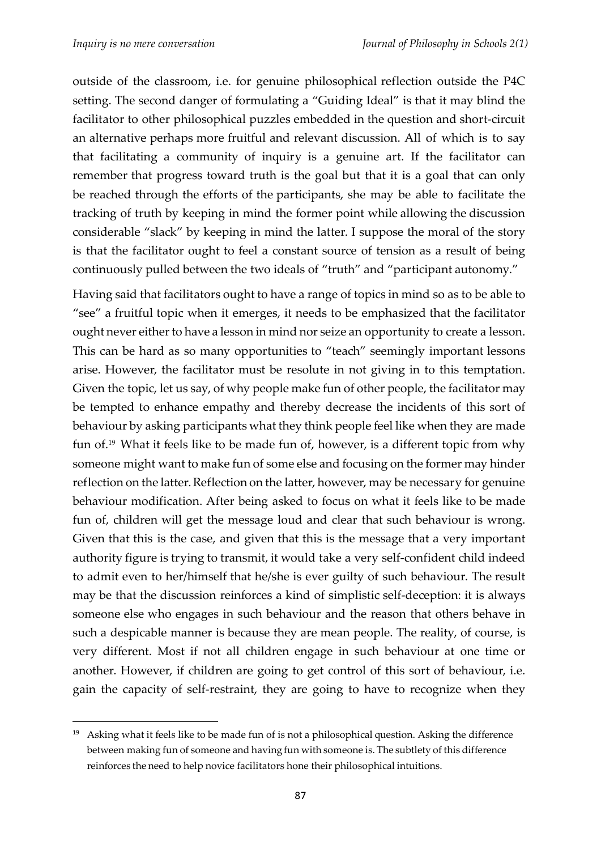1

outside of the classroom, i.e. for genuine philosophical reflection outside the P4C setting. The second danger of formulating a "Guiding Ideal" is that it may blind the facilitator to other philosophical puzzles embedded in the question and short-circuit an alternative perhaps more fruitful and relevant discussion. All of which is to say that facilitating a community of inquiry is a genuine art. If the facilitator can remember that progress toward truth is the goal but that it is a goal that can only be reached through the efforts of the participants, she may be able to facilitate the tracking of truth by keeping in mind the former point while allowing the discussion considerable "slack" by keeping in mind the latter. I suppose the moral of the story is that the facilitator ought to feel a constant source of tension as a result of being continuously pulled between the two ideals of "truth" and "participant autonomy."

Having said that facilitators ought to have a range of topics in mind so as to be able to "see" a fruitful topic when it emerges, it needs to be emphasized that the facilitator ought never either to have a lesson in mind nor seize an opportunity to create a lesson. This can be hard as so many opportunities to "teach" seemingly important lessons arise. However, the facilitator must be resolute in not giving in to this temptation. Given the topic, let us say, of why people make fun of other people, the facilitator may be tempted to enhance empathy and thereby decrease the incidents of this sort of behaviour by asking participants what they think people feel like when they are made fun of.<sup>19</sup> What it feels like to be made fun of, however, is a different topic from why someone might want to make fun of some else and focusing on the former may hinder reflection on the latter. Reflection on the latter, however, may be necessary for genuine behaviour modification. After being asked to focus on what it feels like to be made fun of, children will get the message loud and clear that such behaviour is wrong. Given that this is the case, and given that this is the message that a very important authority figure is trying to transmit, it would take a very self-confident child indeed to admit even to her/himself that he/she is ever guilty of such behaviour. The result may be that the discussion reinforces a kind of simplistic self-deception: it is always someone else who engages in such behaviour and the reason that others behave in such a despicable manner is because they are mean people. The reality, of course, is very different. Most if not all children engage in such behaviour at one time or another. However, if children are going to get control of this sort of behaviour, i.e. gain the capacity of self-restraint, they are going to have to recognize when they

<sup>&</sup>lt;sup>19</sup> Asking what it feels like to be made fun of is not a philosophical question. Asking the difference between making fun of someone and having fun with someone is. The subtlety of this difference reinforces the need to help novice facilitators hone their philosophical intuitions.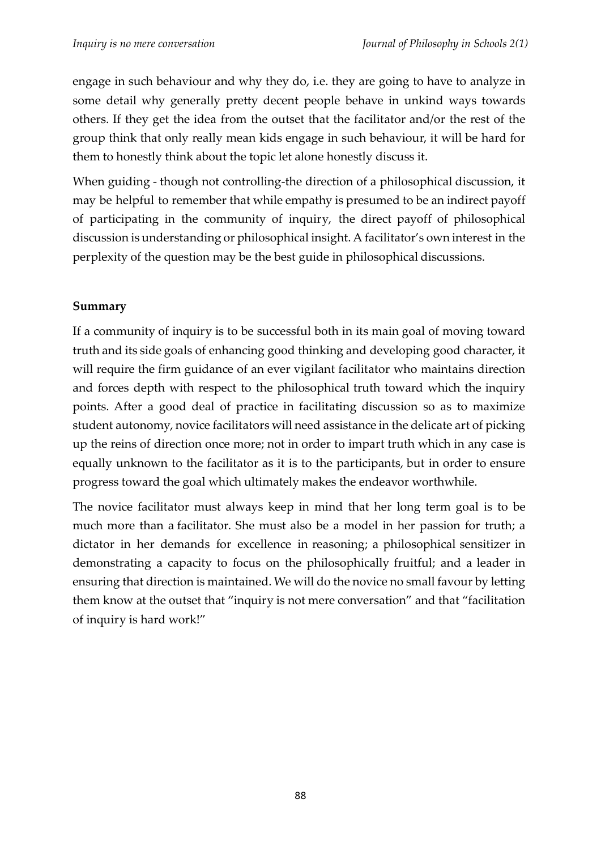engage in such behaviour and why they do, i.e. they are going to have to analyze in some detail why generally pretty decent people behave in unkind ways towards others. If they get the idea from the outset that the facilitator and/or the rest of the group think that only really mean kids engage in such behaviour, it will be hard for them to honestly think about the topic let alone honestly discuss it.

When guiding - though not controlling-the direction of a philosophical discussion, it may be helpful to remember that while empathy is presumed to be an indirect payoff of participating in the community of inquiry, the direct payoff of philosophical discussion is understanding or philosophical insight. A facilitator's own interest in the perplexity of the question may be the best guide in philosophical discussions.

### **Summary**

If a community of inquiry is to be successful both in its main goal of moving toward truth and its side goals of enhancing good thinking and developing good character, it will require the firm guidance of an ever vigilant facilitator who maintains direction and forces depth with respect to the philosophical truth toward which the inquiry points. After a good deal of practice in facilitating discussion so as to maximize student autonomy, novice facilitators will need assistance in the delicate art of picking up the reins of direction once more; not in order to impart truth which in any case is equally unknown to the facilitator as it is to the participants, but in order to ensure progress toward the goal which ultimately makes the endeavor worthwhile.

The novice facilitator must always keep in mind that her long term goal is to be much more than a facilitator. She must also be a model in her passion for truth; a dictator in her demands for excellence in reasoning; a philosophical sensitizer in demonstrating a capacity to focus on the philosophically fruitful; and a leader in ensuring that direction is maintained. We will do the novice no small favour by letting them know at the outset that "inquiry is not mere conversation" and that "facilitation of inquiry is hard work!"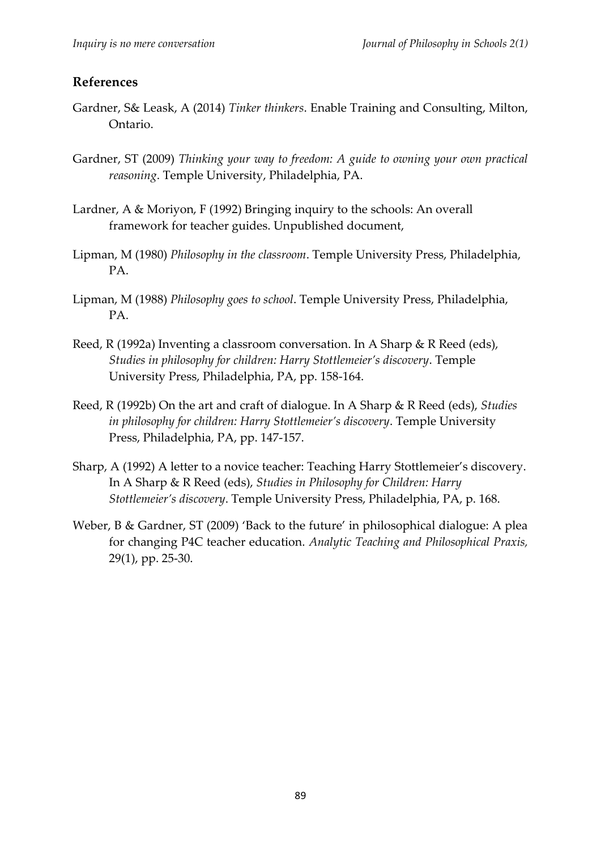#### **References**

- Gardner, S& Leask, A (2014) *Tinker thinkers*. Enable Training and Consulting, Milton, Ontario.
- Gardner, ST (2009) *Thinking your way to freedom: A guide to owning your own practical reasoning*. Temple University, Philadelphia, PA.
- Lardner, A & Moriyon, F (1992) Bringing inquiry to the schools: An overall framework for teacher guides. Unpublished document,
- Lipman, M (1980) *Philosophy in the classroom*. Temple University Press, Philadelphia, PA.
- Lipman, M (1988) *Philosophy goes to school*. Temple University Press, Philadelphia, PA.
- Reed, R (1992a) Inventing a classroom conversation. In A Sharp & R Reed (eds), *Studies in philosophy for children: Harry Stottlemeier's discovery*. Temple University Press, Philadelphia, PA, pp. 158-164.
- Reed, R (1992b) On the art and craft of dialogue. In A Sharp & R Reed (eds), *Studies in philosophy for children: Harry Stottlemeier's discovery*. Temple University Press, Philadelphia, PA, pp. 147-157.
- Sharp, A (1992) A letter to a novice teacher: Teaching Harry Stottlemeier's discovery. In A Sharp & R Reed (eds), *Studies in Philosophy for Children: Harry Stottlemeier's discovery*. Temple University Press, Philadelphia, PA, p. 168.
- Weber, B & Gardner, ST (2009) 'Back to the future' in philosophical dialogue: A plea for changing P4C teacher education. *Analytic Teaching and Philosophical Praxis,*  29(1), pp. 25-30.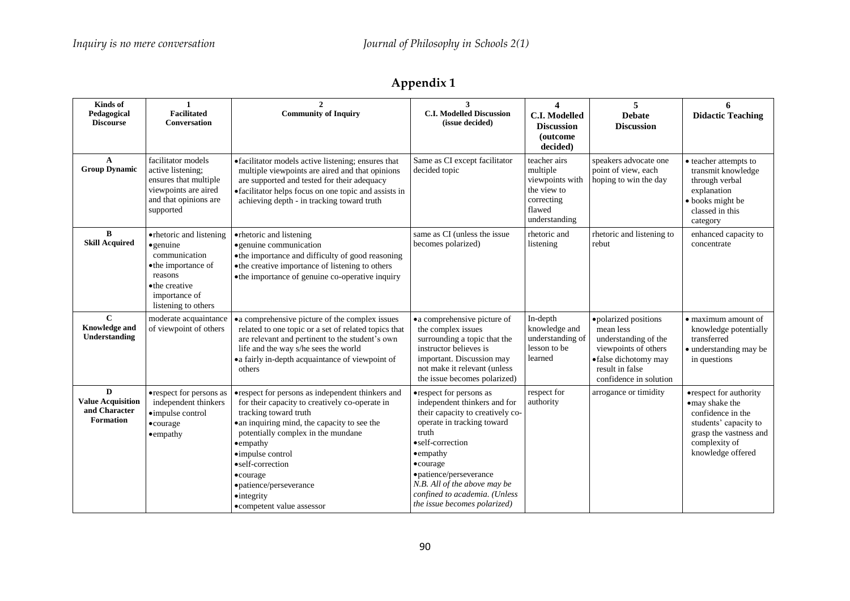| Kinds of                                                           | $\mathbf{1}$                                                                                                                                               | $\mathbf{2}$                                                                                                                                                                                                                                                                                                                                                              | 3                                                                                                                                                                                                                                                                                                                             | $\overline{\mathbf{4}}$                                                                             | 5                                                                                                                                                      | 6                                                                                                                                                      |
|--------------------------------------------------------------------|------------------------------------------------------------------------------------------------------------------------------------------------------------|---------------------------------------------------------------------------------------------------------------------------------------------------------------------------------------------------------------------------------------------------------------------------------------------------------------------------------------------------------------------------|-------------------------------------------------------------------------------------------------------------------------------------------------------------------------------------------------------------------------------------------------------------------------------------------------------------------------------|-----------------------------------------------------------------------------------------------------|--------------------------------------------------------------------------------------------------------------------------------------------------------|--------------------------------------------------------------------------------------------------------------------------------------------------------|
| Pedagogical<br><b>Discourse</b>                                    | <b>Facilitated</b><br><b>Conversation</b>                                                                                                                  | <b>Community of Inquiry</b>                                                                                                                                                                                                                                                                                                                                               | <b>C.I. Modelled Discussion</b><br>(issue decided)                                                                                                                                                                                                                                                                            | <b>C.I. Modelled</b><br><b>Discussion</b>                                                           | <b>Debate</b><br><b>Discussion</b>                                                                                                                     | <b>Didactic Teaching</b>                                                                                                                               |
|                                                                    |                                                                                                                                                            |                                                                                                                                                                                                                                                                                                                                                                           |                                                                                                                                                                                                                                                                                                                               | <i>(outcome)</i><br>decided)                                                                        |                                                                                                                                                        |                                                                                                                                                        |
| $\mathbf{A}$<br><b>Group Dynamic</b>                               | facilitator models<br>active listening:<br>ensures that multiple<br>viewpoints are aired<br>and that opinions are<br>supported                             | • facilitator models active listening; ensures that<br>multiple viewpoints are aired and that opinions<br>are supported and tested for their adequacy<br>• facilitator helps focus on one topic and assists in<br>achieving depth - in tracking toward truth                                                                                                              | Same as CI except facilitator<br>decided topic                                                                                                                                                                                                                                                                                | teacher airs<br>multiple<br>viewpoints with<br>the view to<br>correcting<br>flawed<br>understanding | speakers advocate one<br>point of view, each<br>hoping to win the day                                                                                  | • teacher attempts to<br>transmit knowledge<br>through verbal<br>explanation<br>• books might be<br>classed in this<br>category                        |
| B<br><b>Skill Acquired</b>                                         | • rhetoric and listening<br>$\bullet$ genuine<br>communication<br>• the importance of<br>reasons<br>• the creative<br>importance of<br>listening to others | •rhetoric and listening<br>• genuine communication<br>• the importance and difficulty of good reasoning<br>• the creative importance of listening to others<br>• the importance of genuine co-operative inquiry                                                                                                                                                           | same as CI (unless the issue<br>becomes polarized)                                                                                                                                                                                                                                                                            | rhetoric and<br>listening                                                                           | rhetoric and listening to<br>rebut                                                                                                                     | enhanced capacity to<br>concentrate                                                                                                                    |
| $\mathbf C$<br><b>Knowledge and</b><br>Understanding               | moderate acquaintance<br>of viewpoint of others                                                                                                            | • a comprehensive picture of the complex issues<br>related to one topic or a set of related topics that<br>are relevant and pertinent to the student's own<br>life and the way s/he sees the world<br>• a fairly in-depth acquaintance of viewpoint of<br>others                                                                                                          | • a comprehensive picture of<br>the complex issues<br>surrounding a topic that the<br>instructor believes is<br>important. Discussion may<br>not make it relevant (unless<br>the issue becomes polarized)                                                                                                                     | In-depth<br>knowledge and<br>understanding of<br>lesson to be<br>learned                            | ·polarized positions<br>mean less<br>understanding of the<br>viewpoints of others<br>·false dichotomy may<br>result in false<br>confidence in solution | $\bullet$ maximum amount of<br>knowledge potentially<br>transferred<br>• understanding may be<br>in questions                                          |
| D<br><b>Value Acquisition</b><br>and Character<br><b>Formation</b> | • respect for persons as<br>independent thinkers<br>·impulse control<br>•courage<br>• empathy                                                              | •respect for persons as independent thinkers and<br>for their capacity to creatively co-operate in<br>tracking toward truth<br>• an inquiring mind, the capacity to see the<br>potentially complex in the mundane<br>•empathy<br>•impulse control<br>• self-correction<br>$\bullet$ courage<br>·patience/perseverance<br>$\bullet$ integrity<br>·competent value assessor | • respect for persons as<br>independent thinkers and for<br>their capacity to creatively co-<br>operate in tracking toward<br>truth<br>• self-correction<br>$\bullet$ empathy<br>$\bullet$ courage<br>·patience/perseverance<br>N.B. All of the above may be<br>confined to academia. (Unless<br>the issue becomes polarized) | respect for<br>authority                                                                            | arrogance or timidity                                                                                                                                  | •respect for authority<br>·may shake the<br>confidence in the<br>students' capacity to<br>grasp the vastness and<br>complexity of<br>knowledge offered |

# **Appendix 1**